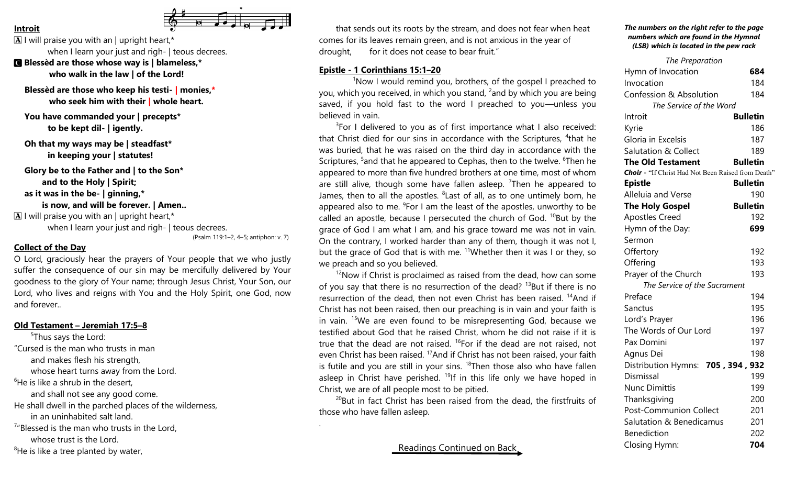

## **Introit**

 $\boxed{\mathbf{A}}$  I will praise you with an | upright heart,\* when I learn your just and righ- | teous decrees. C **Blessèd are those whose way is | blameless,\* who walk in the law | of the Lord!**

**Blessèd are those who keep his testi- | monies,\* who seek him with their | whole heart.**

**You have commanded your | precepts\* to be kept dil- | igently.**

**Oh that my ways may be | steadfast\* in keeping your | statutes!**

**Glory be to the Father and | to the Son\* and to the Holy | Spirit; as it was in the be- | ginning,\* is now, and will be forever. | Amen..**  $\boxed{\mathbf{A}}$  I will praise you with an | upright heart,\*

when I learn your just and righ- | teous decrees.

(Psalm 119:1–2, 4–5; antiphon: v. 7)

.

### **Collect of the Day**

O Lord, graciously hear the prayers of Your people that we who justly suffer the consequence of our sin may be mercifully delivered by Your goodness to the glory of Your name; through Jesus Christ, Your Son, our Lord, who lives and reigns with You and the Holy Spirit, one God, now and forever..

### **Old Testament – Jeremiah 17:5–8**

<sup>5</sup>Thus says the Lord: "Cursed is the man who trusts in man and makes flesh his strength, whose heart turns away from the Lord.  $6$ He is like a shrub in the desert. and shall not see any good come. He shall dwell in the parched places of the wilderness, in an uninhabited salt land. <sup>7</sup>"Blessed is the man who trusts in the Lord, whose trust is the Lord.

 ${}^{8}$ He is like a tree planted by water,

that sends out its roots by the stream, and does not fear when heat comes for its leaves remain green, and is not anxious in the year of drought, for it does not cease to bear fruit."

### **Epistle - 1 Corinthians 15:1–20**

<sup>1</sup>Now I would remind you, brothers, of the gospel I preached to you, which you received, in which you stand, <sup>2</sup> and by which you are being saved, if you hold fast to the word I preached to you—unless you believed in vain.

 $3$ For I delivered to you as of first importance what I also received: that Christ died for our sins in accordance with the Scriptures, <sup>4</sup>that he was buried, that he was raised on the third day in accordance with the Scriptures, <sup>5</sup> and that he appeared to Cephas, then to the twelve. <sup>6</sup> Then he appeared to more than five hundred brothers at one time, most of whom are still alive, though some have fallen asleep. <sup>7</sup>Then he appeared to James, then to all the apostles. <sup>8</sup> Last of all, as to one untimely born, he appeared also to me.  $9$ For I am the least of the apostles, unworthy to be called an apostle, because I persecuted the church of God.  $^{10}$ But by the grace of God I am what I am, and his grace toward me was not in vain. On the contrary, I worked harder than any of them, though it was not I, but the grace of God that is with me. <sup>11</sup>Whether then it was I or they, so we preach and so you believed.

 $12$ Now if Christ is proclaimed as raised from the dead, how can some of you say that there is no resurrection of the dead?  $^{13}$ But if there is no resurrection of the dead, then not even Christ has been raised.  $^{14}$ And if Christ has not been raised, then our preaching is in vain and your faith is in vain. <sup>15</sup>We are even found to be misrepresenting God, because we testified about God that he raised Christ, whom he did not raise if it is true that the dead are not raised.  $^{16}$ For if the dead are not raised, not even Christ has been raised. <sup>17</sup>And if Christ has not been raised, your faith is futile and you are still in your sins.  $18$ Then those also who have fallen asleep in Christ have perished.  $19$ If in this life only we have hoped in Christ, we are of all people most to be pitied.

 $20B$ ut in fact Christ has been raised from the dead, the firstfruits of those who have fallen asleep.

Readings Continued on Back

#### *The numbers on the right refer to the page numbers which are found in the Hymnal (LSB) which is located in the pew rack*

| The Preparation                                           |                 |
|-----------------------------------------------------------|-----------------|
| Hymn of Invocation                                        | 684             |
| Invocation                                                | 184             |
| Confession & Absolution                                   | 184             |
| The Service of the Word                                   |                 |
| Introit                                                   | <b>Bulletin</b> |
| Kyrie                                                     | 186             |
| Gloria in Excelsis                                        | 187             |
| <b>Salutation &amp; Collect</b>                           | 189             |
| <b>The Old Testament</b>                                  | <b>Bulletin</b> |
| <b>Choir</b> - "If Christ Had Not Been Raised from Death" |                 |
| <b>Epistle</b>                                            | <b>Bulletin</b> |
| Alleluia and Verse                                        | 190             |
| <b>The Holy Gospel</b>                                    | <b>Bulletin</b> |
| <b>Apostles Creed</b>                                     | 192             |
| Hymn of the Day:                                          | 699             |
| Sermon                                                    |                 |
| Offertory                                                 | 192             |
| Offering                                                  | 193             |
| Prayer of the Church                                      | 193             |
| The Service of the Sacrament                              |                 |
| Preface                                                   | 194             |
| Sanctus                                                   | 195             |
| Lord's Prayer                                             | 196             |
| The Words of Our Lord                                     | 197             |
| Pax Domini                                                | 197             |
| Agnus Dei                                                 | 198             |
| Distribution Hymns: 705, 394, 932                         |                 |
| Dismissal                                                 | 199             |
| <b>Nunc Dimittis</b>                                      | 199             |
| Thanksgiving                                              | 200             |
| <b>Post-Communion Collect</b>                             | 201             |
| Salutation & Benedicamus                                  | 201             |
| <b>Benediction</b>                                        | 202             |
| Closing Hymn:                                             | 704             |